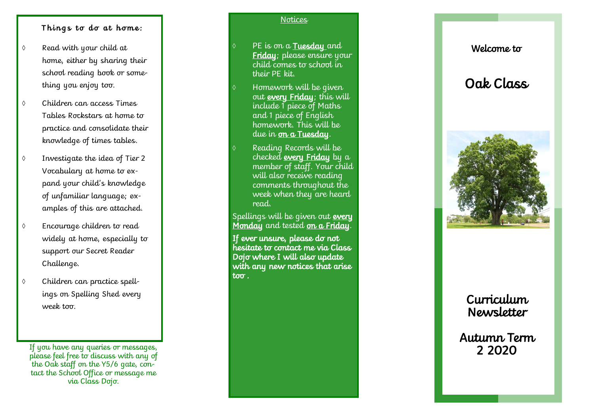### Things to do at home:

- Read with your child at home, either by sharing their school reading book or something you enjoy too.
- Children can access Times Tables Rockstars at home to practice and consolidate their knowledge of times tables.
- Investigate the idea of Tier 2 Vocabulary at home to expand your child's knowledge of unfamiliar language; examples of this are attached.
- Encourage children to read widely at home, especially to support our Secret Reader Challenge.
- Children can practice spellings on Spelling Shed every week too.

If you have any queries or messages, please feel free to discuss with any of the Oak staff on the Y5/6 gate, contact the School Office or message me via Class Dojo.

#### **Notices**

PE is on a **Tuesday** and Friday; please ensure your child comes to school in their PE kit.

- Homework will be given out every Friday; this will include 1 piece of Maths and 1 piece of English homework. This will be due in <u>on a Tuesday</u>.
- Reading Records will be checked every Friday by a member of staff. Your child will also receive reading comments throughout the week when they are heard read.

Spellings will be given out **every** <u>Monday</u> and tested <u>on a Friday</u>.

If ever unsure, please do not hesitate to contact me via Class Dojo where I will also update with any new notices that arise too.

## Welcome to

# Oak Class



# Curriculum Newsletter

Autumn Term 2 2020